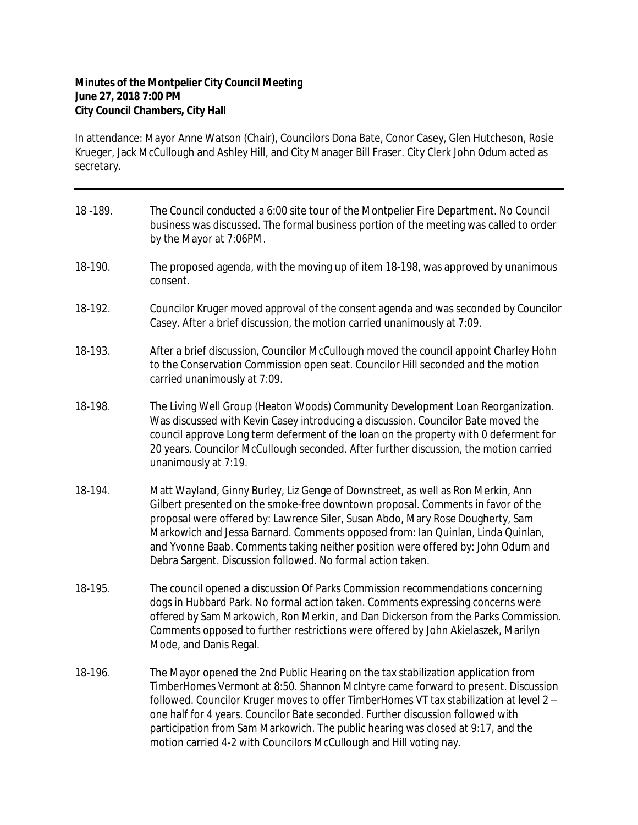## **Minutes of the Montpelier City Council Meeting June 27, 2018 7:00 PM City Council Chambers, City Hall**

In attendance: Mayor Anne Watson (Chair), Councilors Dona Bate, Conor Casey, Glen Hutcheson, Rosie Krueger, Jack McCullough and Ashley Hill, and City Manager Bill Fraser. City Clerk John Odum acted as secretary.

| 18 - 189. | The Council conducted a 6:00 site tour of the Montpelier Fire Department. No Council<br>business was discussed. The formal business portion of the meeting was called to order<br>by the Mayor at 7:06PM.                                                                                                                                                                                                                                                                                                      |
|-----------|----------------------------------------------------------------------------------------------------------------------------------------------------------------------------------------------------------------------------------------------------------------------------------------------------------------------------------------------------------------------------------------------------------------------------------------------------------------------------------------------------------------|
| 18-190.   | The proposed agenda, with the moving up of item 18-198, was approved by unanimous<br>consent.                                                                                                                                                                                                                                                                                                                                                                                                                  |
| 18-192.   | Councilor Kruger moved approval of the consent agenda and was seconded by Councilor<br>Casey. After a brief discussion, the motion carried unanimously at 7:09.                                                                                                                                                                                                                                                                                                                                                |
| 18-193.   | After a brief discussion, Councilor McCullough moved the council appoint Charley Hohn<br>to the Conservation Commission open seat. Councilor Hill seconded and the motion<br>carried unanimously at 7:09.                                                                                                                                                                                                                                                                                                      |
| 18-198.   | The Living Well Group (Heaton Woods) Community Development Loan Reorganization.<br>Was discussed with Kevin Casey introducing a discussion. Councilor Bate moved the<br>council approve Long term deferment of the loan on the property with 0 deferment for<br>20 years. Councilor McCullough seconded. After further discussion, the motion carried<br>unanimously at 7:19.                                                                                                                                  |
| 18-194.   | Matt Wayland, Ginny Burley, Liz Genge of Downstreet, as well as Ron Merkin, Ann<br>Gilbert presented on the smoke-free downtown proposal. Comments in favor of the<br>proposal were offered by: Lawrence Siler, Susan Abdo, Mary Rose Dougherty, Sam<br>Markowich and Jessa Barnard. Comments opposed from: Ian Quinlan, Linda Quinlan,<br>and Yvonne Baab. Comments taking neither position were offered by: John Odum and<br>Debra Sargent. Discussion followed. No formal action taken.                     |
| 18-195.   | The council opened a discussion Of Parks Commission recommendations concerning<br>dogs in Hubbard Park. No formal action taken. Comments expressing concerns were<br>offered by Sam Markowich, Ron Merkin, and Dan Dickerson from the Parks Commission.<br>Comments opposed to further restrictions were offered by John Akielaszek, Marilyn<br>Mode, and Danis Regal.                                                                                                                                         |
| 18-196.   | The Mayor opened the 2nd Public Hearing on the tax stabilization application from<br>TimberHomes Vermont at 8:50. Shannon McIntyre came forward to present. Discussion<br>followed. Councilor Kruger moves to offer TimberHomes VT tax stabilization at level 2 -<br>one half for 4 years. Councilor Bate seconded. Further discussion followed with<br>participation from Sam Markowich. The public hearing was closed at 9:17, and the<br>motion carried 4-2 with Councilors McCullough and Hill voting nay. |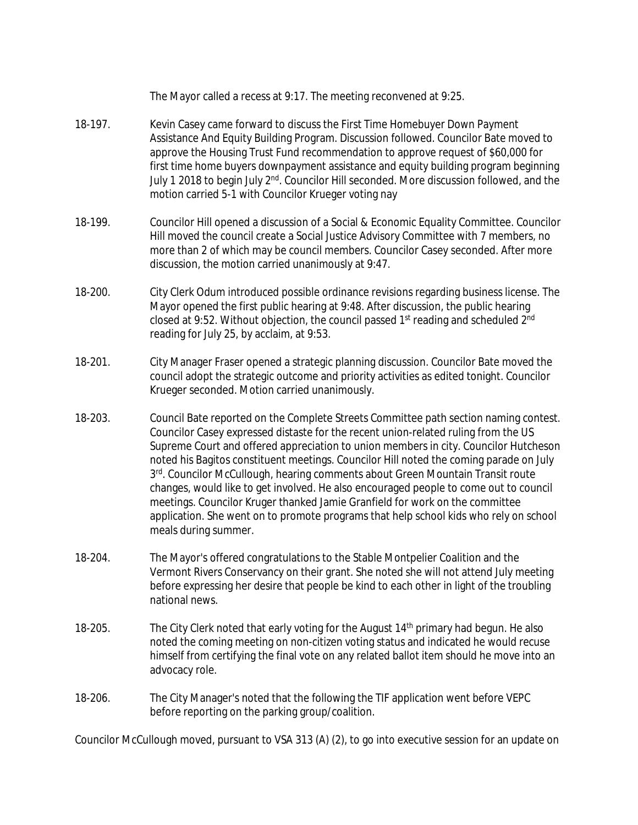|         | The Mayor called a recess at 9:17. The meeting reconvened at 9:25.                                                                                                                                                                                                                                                                                                                                                                                                                                                                                                                                                                                                                                                                       |
|---------|------------------------------------------------------------------------------------------------------------------------------------------------------------------------------------------------------------------------------------------------------------------------------------------------------------------------------------------------------------------------------------------------------------------------------------------------------------------------------------------------------------------------------------------------------------------------------------------------------------------------------------------------------------------------------------------------------------------------------------------|
| 18-197. | Kevin Casey came forward to discuss the First Time Homebuyer Down Payment<br>Assistance And Equity Building Program. Discussion followed. Councilor Bate moved to<br>approve the Housing Trust Fund recommendation to approve request of \$60,000 for<br>first time home buyers downpayment assistance and equity building program beginning<br>July 1 2018 to begin July 2 <sup>nd</sup> . Councilor Hill seconded. More discussion followed, and the<br>motion carried 5-1 with Councilor Krueger voting nay                                                                                                                                                                                                                           |
| 18-199. | Councilor Hill opened a discussion of a Social & Economic Equality Committee. Councilor<br>Hill moved the council create a Social Justice Advisory Committee with 7 members, no<br>more than 2 of which may be council members. Councilor Casey seconded. After more<br>discussion, the motion carried unanimously at 9:47.                                                                                                                                                                                                                                                                                                                                                                                                              |
| 18-200. | City Clerk Odum introduced possible ordinance revisions regarding business license. The<br>Mayor opened the first public hearing at 9:48. After discussion, the public hearing<br>closed at 9:52. Without objection, the council passed 1 <sup>st</sup> reading and scheduled 2 <sup>nd</sup><br>reading for July 25, by acclaim, at 9:53.                                                                                                                                                                                                                                                                                                                                                                                               |
| 18-201. | City Manager Fraser opened a strategic planning discussion. Councilor Bate moved the<br>council adopt the strategic outcome and priority activities as edited tonight. Councilor<br>Krueger seconded. Motion carried unanimously.                                                                                                                                                                                                                                                                                                                                                                                                                                                                                                        |
| 18-203. | Council Bate reported on the Complete Streets Committee path section naming contest.<br>Councilor Casey expressed distaste for the recent union-related ruling from the US<br>Supreme Court and offered appreciation to union members in city. Councilor Hutcheson<br>noted his Bagitos constituent meetings. Councilor Hill noted the coming parade on July<br>3rd. Councilor McCullough, hearing comments about Green Mountain Transit route<br>changes, would like to get involved. He also encouraged people to come out to council<br>meetings. Councilor Kruger thanked Jamie Granfield for work on the committee<br>application. She went on to promote programs that help school kids who rely on school<br>meals during summer. |
| 18-204. | The Mayor's offered congratulations to the Stable Montpelier Coalition and the<br>Vermont Rivers Conservancy on their grant. She noted she will not attend July meeting<br>before expressing her desire that people be kind to each other in light of the troubling<br>national news.                                                                                                                                                                                                                                                                                                                                                                                                                                                    |
| 18-205. | The City Clerk noted that early voting for the August 14 <sup>th</sup> primary had begun. He also<br>noted the coming meeting on non-citizen voting status and indicated he would recuse<br>himself from certifying the final vote on any related ballot item should he move into an<br>advocacy role.                                                                                                                                                                                                                                                                                                                                                                                                                                   |
| 18-206. | The City Manager's noted that the following the TIF application went before VEPC<br>before reporting on the parking group/coalition.                                                                                                                                                                                                                                                                                                                                                                                                                                                                                                                                                                                                     |
|         | Councilor McCullough moved, pursuant to VSA 313 (A) (2), to go into executive session for an update on                                                                                                                                                                                                                                                                                                                                                                                                                                                                                                                                                                                                                                   |